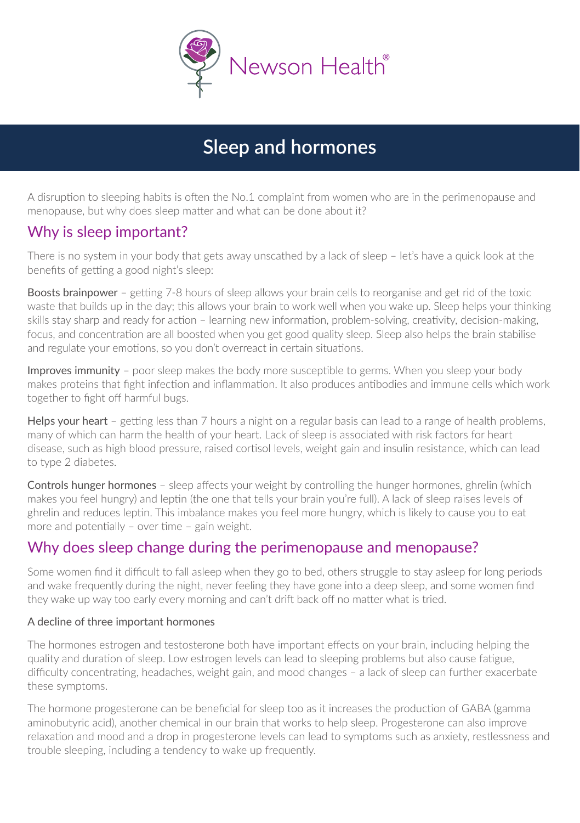

# **Sleep and hormones**

A disruption to sleeping habits is often the No.1 complaint from women who are in the perimenopause and menopause, but why does sleep matter and what can be done about it?

### Why is sleep important?

There is no system in your body that gets away unscathed by a lack of sleep – let's have a quick look at the benefits of getting a good night's sleep:

Boosts brainpower – getting 7-8 hours of sleep allows your brain cells to reorganise and get rid of the toxic waste that builds up in the day; this allows your brain to work well when you wake up. Sleep helps your thinking skills stay sharp and ready for action – learning new information, problem-solving, creativity, decision-making, focus, and concentration are all boosted when you get good quality sleep. Sleep also helps the brain stabilise and regulate your emotions, so you don't overreact in certain situations.

Improves immunity – poor sleep makes the body more susceptible to germs. When you sleep your body makes proteins that fight infection and inflammation. It also produces antibodies and immune cells which work together to fight off harmful bugs.

Helps your heart – getting less than 7 hours a night on a regular basis can lead to a range of health problems, many of which can harm the health of your heart. Lack of sleep is associated with risk factors for heart disease, such as high blood pressure, raised cortisol levels, weight gain and insulin resistance, which can lead to type 2 diabetes.

Controls hunger hormones – sleep affects your weight by controlling the hunger hormones, ghrelin (which makes you feel hungry) and leptin (the one that tells your brain you're full). A lack of sleep raises levels of ghrelin and reduces leptin. This imbalance makes you feel more hungry, which is likely to cause you to eat more and potentially – over time – gain weight.

### Why does sleep change during the perimenopause and menopause?

Some women find it difficult to fall asleep when they go to bed, others struggle to stay asleep for long periods and wake frequently during the night, never feeling they have gone into a deep sleep, and some women find they wake up way too early every morning and can't drift back off no matter what is tried.

#### A decline of three important hormones

The hormones estrogen and testosterone both have important effects on your brain, including helping the quality and duration of sleep. Low estrogen levels can lead to sleeping problems but also cause fatigue, difficulty concentrating, headaches, weight gain, and mood changes – a lack of sleep can further exacerbate these symptoms.

The hormone progesterone can be beneficial for sleep too as it increases the production of GABA (gamma aminobutyric acid), another chemical in our brain that works to help sleep. Progesterone can also improve relaxation and mood and a drop in progesterone levels can lead to symptoms such as anxiety, restlessness and trouble sleeping, including a tendency to wake up frequently.